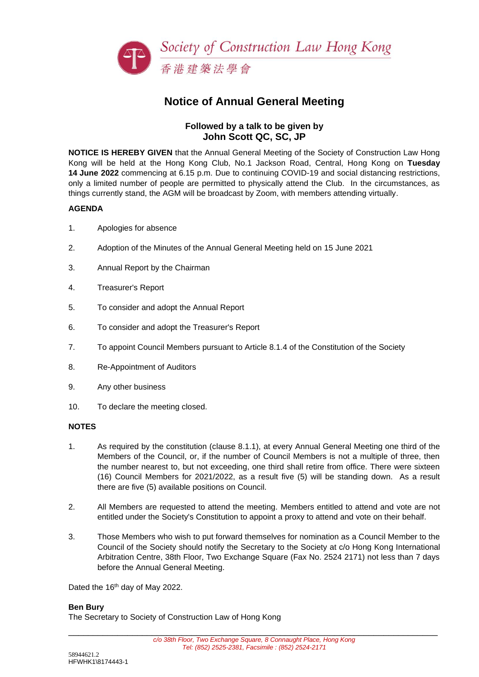

# **Notice of Annual General Meeting**

#### **Followed by a talk to be given by John Scott QC, SC, JP**

**NOTICE IS HEREBY GIVEN** that the Annual General Meeting of the Society of Construction Law Hong Kong will be held at the Hong Kong Club, No.1 Jackson Road, Central, Hong Kong on **Tuesday 14 June 2022** commencing at 6.15 p.m. Due to continuing COVID-19 and social distancing restrictions, only a limited number of people are permitted to physically attend the Club. In the circumstances, as things currently stand, the AGM will be broadcast by Zoom, with members attending virtually.

#### **AGENDA**

- 1. Apologies for absence
- 2. Adoption of the Minutes of the Annual General Meeting held on 15 June 2021
- 3. Annual Report by the Chairman
- 4. Treasurer's Report
- 5. To consider and adopt the Annual Report
- 6. To consider and adopt the Treasurer's Report
- 7. To appoint Council Members pursuant to Article 8.1.4 of the Constitution of the Society
- 8. Re-Appointment of Auditors
- 9. Any other business
- 10. To declare the meeting closed.

#### **NOTES**

- 1. As required by the constitution (clause 8.1.1), at every Annual General Meeting one third of the Members of the Council, or, if the number of Council Members is not a multiple of three, then the number nearest to, but not exceeding, one third shall retire from office. There were sixteen (16) Council Members for 2021/2022, as a result five (5) will be standing down. As a result there are five (5) available positions on Council.
- 2. All Members are requested to attend the meeting. Members entitled to attend and vote are not entitled under the Society's Constitution to appoint a proxy to attend and vote on their behalf.
- 3. Those Members who wish to put forward themselves for nomination as a Council Member to the Council of the Society should notify the Secretary to the Society at c/o Hong Kong International Arbitration Centre, 38th Floor, Two Exchange Square (Fax No. 2524 2171) not less than 7 days before the Annual General Meeting.

Dated the 16<sup>th</sup> day of May 2022.

#### **Ben Bury**

The Secretary to Society of Construction Law of Hong Kong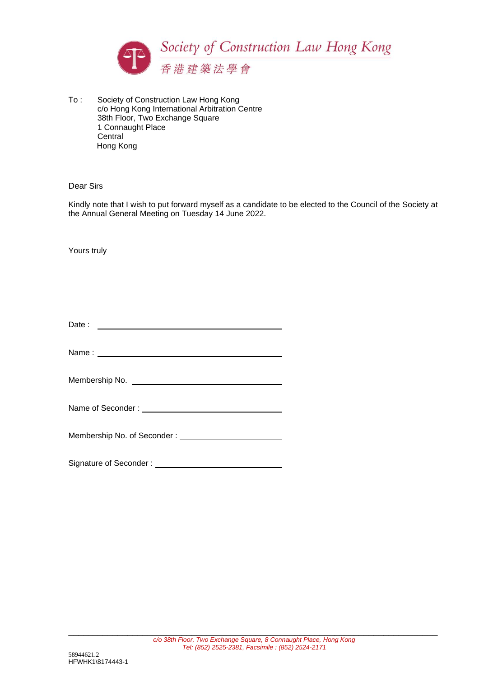

To : Society of Construction Law Hong Kong c/o Hong Kong International Arbitration Centre 38th Floor, Two Exchange Square 1 Connaught Place **Central** Hong Kong

#### Dear Sirs

Kindly note that I wish to put forward myself as a candidate to be elected to the Council of the Society at the Annual General Meeting on Tuesday 14 June 2022.

Yours truly

| Date: |  |  |
|-------|--|--|
|       |  |  |

Name : \_

|  | Membership No. of Seconder: |  |
|--|-----------------------------|--|
|  |                             |  |

| Signature of Seconder: |  |
|------------------------|--|
|                        |  |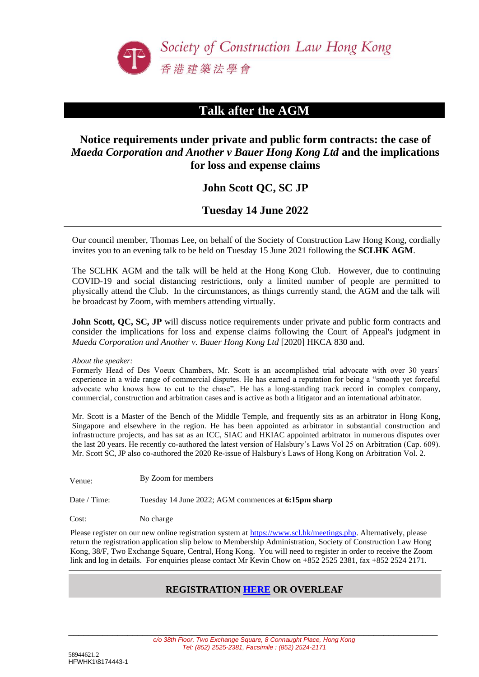

## **Talk after the AGM**

### **Notice requirements under private and public form contracts: the case of**  *Maeda Corporation and Another v Bauer Hong Kong Ltd* **and the implications for loss and expense claims**

### **John Scott QC, SC JP**

**Tuesday 14 June 2022**

Our council member, Thomas Lee, on behalf of the Society of Construction Law Hong Kong, cordially invites you to an evening talk to be held on Tuesday 15 June 2021 following the **SCLHK AGM**.

The SCLHK AGM and the talk will be held at the Hong Kong Club. However, due to continuing COVID-19 and social distancing restrictions, only a limited number of people are permitted to physically attend the Club. In the circumstances, as things currently stand, the AGM and the talk will be broadcast by Zoom, with members attending virtually.

**John Scott, OC, SC, JP** will discuss notice requirements under private and public form contracts and consider the implications for loss and expense claims following the Court of Appeal's judgment in *Maeda Corporation and Another v. Bauer Hong Kong Ltd* [2020] HKCA 830 and.

*About the speaker:*

Formerly Head of Des Voeux Chambers, Mr. Scott is an accomplished trial advocate with over 30 years' experience in a wide range of commercial disputes. He has earned a reputation for being a "smooth yet forceful advocate who knows how to cut to the chase". He has a long-standing track record in complex company, commercial, construction and arbitration cases and is active as both a litigator and an international arbitrator.

Mr. Scott is a Master of the Bench of the Middle Temple, and frequently sits as an arbitrator in Hong Kong, Singapore and elsewhere in the region. He has been appointed as arbitrator in substantial construction and infrastructure projects, and has sat as an ICC, SIAC and HKIAC appointed arbitrator in numerous disputes over the last 20 years. He recently co-authored the latest version of Halsbury's Laws Vol 25 on Arbitration (Cap. 609). Mr. Scott SC, JP also co-authored the 2020 Re-issue of Halsbury's Laws of Hong Kong on Arbitration Vol. 2.

Venue: By Zoom for members

Date / Time: Tuesday 14 June 2022; AGM commences at **6:15pm sharp**

Cost: No charge

Please register on our new online registration system at [https://www.scl.hk/meetings.php.](https://www.scl.hk/meetings.php) Alternatively, please return the registration application slip below to Membership Administration, Society of Construction Law Hong Kong, 38/F, Two Exchange Square, Central, Hong Kong. You will need to register in order to receive the Zoom link and log in details. For enquiries please contact Mr Kevin Chow on +852 2525 2381, fax +852 2524 2171.

#### **REGISTRATION [HERE](https://www.scl.hk/meetings.php) OR OVERLEAF**